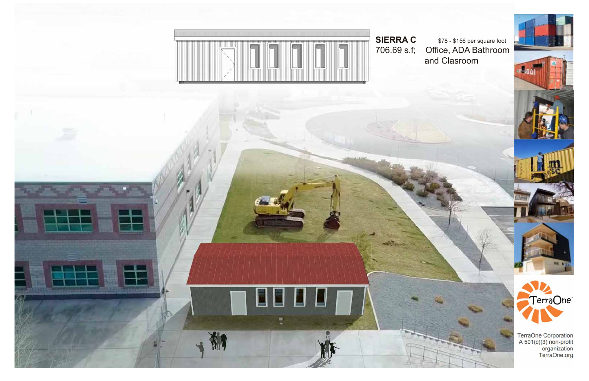

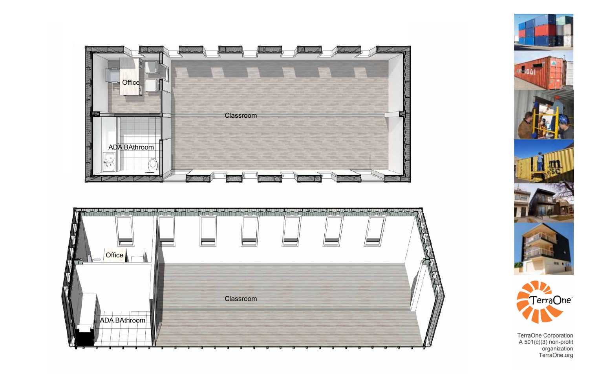





TerraOne Corporation<br>A 501(c)(3) non-profit<br>organization<br>TerraOne.org



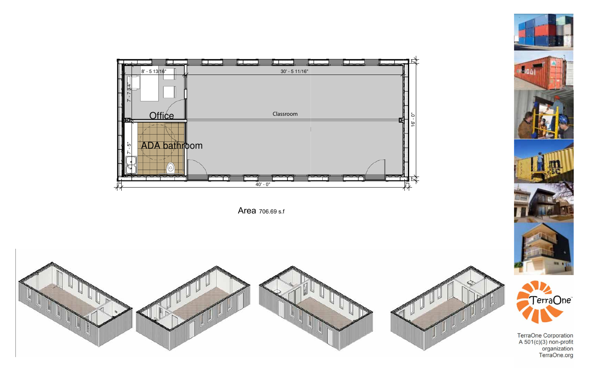

Area 706.69 s.f





TerraOne Corporation<br>A 501(c)(3) non-profit<br>organization<br>TerraOne.org